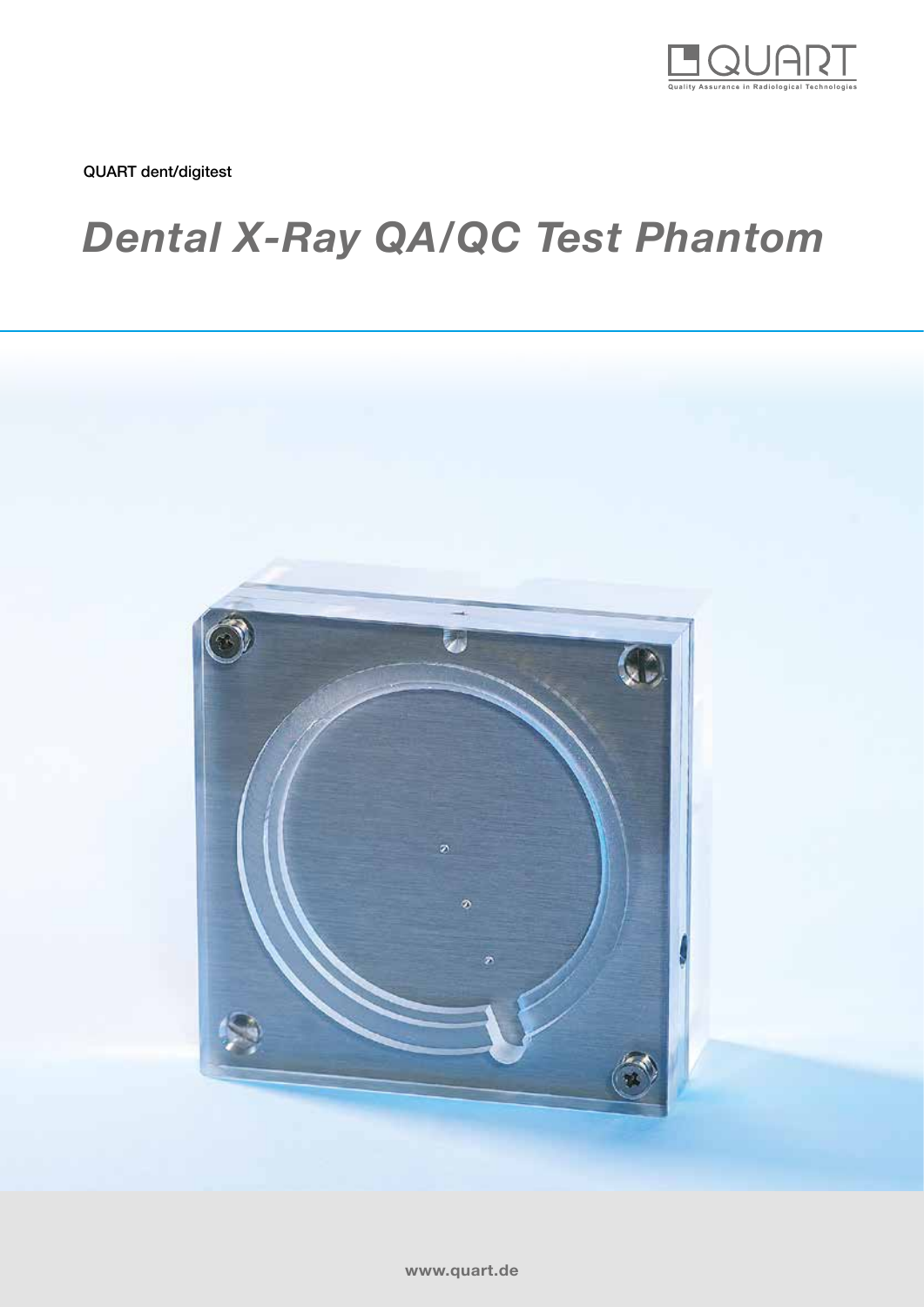

QUART dent/digitest

# *Dental X-Ray QA/QC Test Phantom*

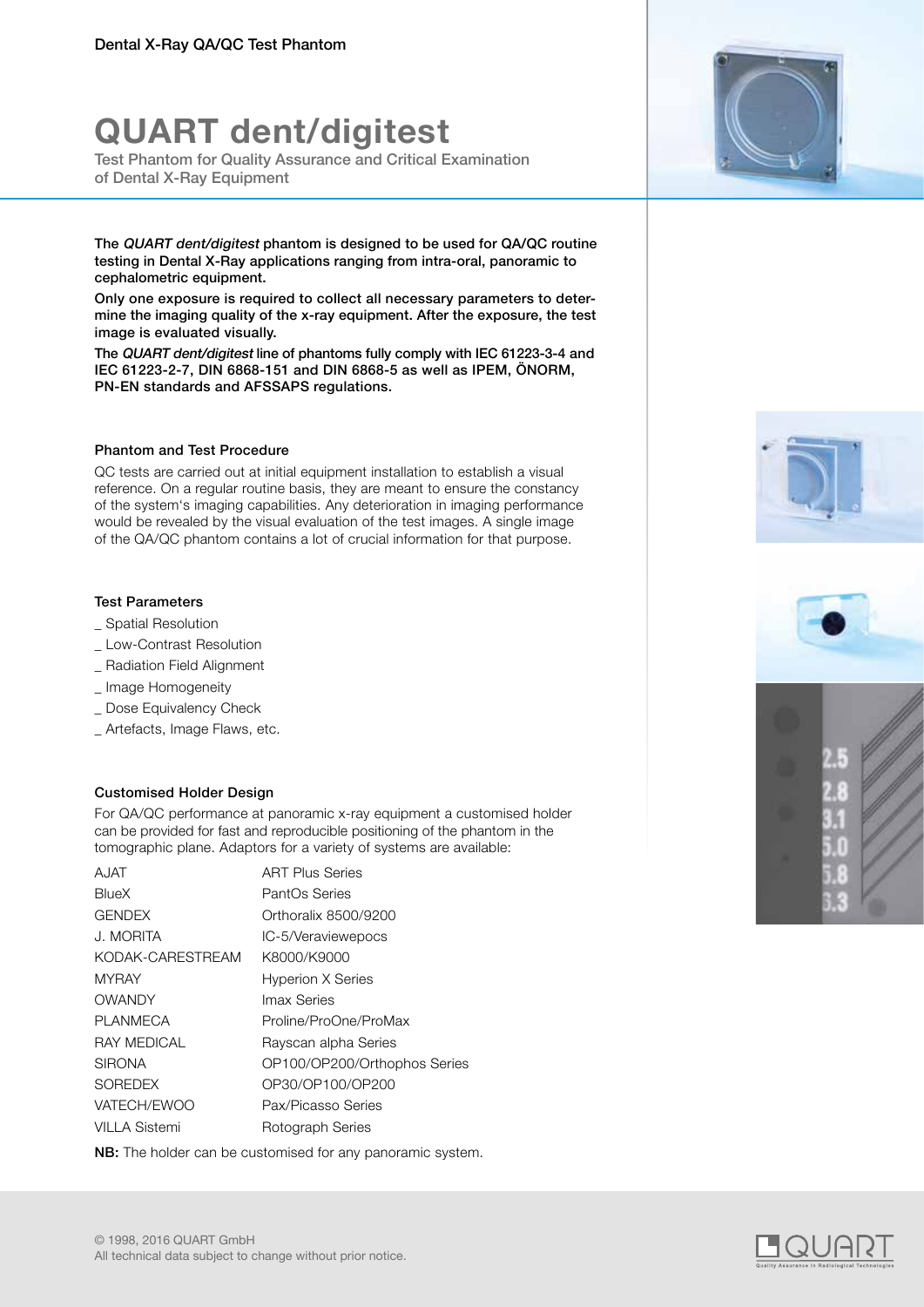# **QUART dent/digitest**

Test Phantom for Quality Assurance and Critical Examination of Dental X-Ray Equipment

The QUART dent/digitest phantom is designed to be used for QA/QC routine testing in Dental X-Ray applications ranging from intra-oral, panoramic to cephalometric equipment.

Only one exposure is required to collect all necessary parameters to determine the imaging quality of the x-ray equipment. After the exposure, the test image is evaluated visually.

The QUART dent/digitest line of phantoms fully comply with IEC 61223-3-4 and IEC 61223-2-7, DIN 6868-151 and DIN 6868-5 as well as IPEM, ÖNORM, PN-EN standards and AFSSAPS regulations.

### Phantom and Test Procedure

QC tests are carried out at initial equipment installation to establish a visual reference. On a regular routine basis, they are meant to ensure the constancy of the system's imaging capabilities. Any deterioration in imaging performance would be revealed by the visual evaluation of the test images. A single image of the QA/QC phantom contains a lot of crucial information for that purpose.

### Test Parameters

- \_ Spatial Resolution
- \_ Low-Contrast Resolution
- \_ Radiation Field Alignment
- \_ Image Homogeneity
- \_ Dose Equivalency Check
- \_ Artefacts, Image Flaws, etc.

### Customised Holder Design

For QA/QC performance at panoramic x-ray equipment a customised holder can be provided for fast and reproducible positioning of the phantom in the tomographic plane. Adaptors for a variety of systems are available:

| A.IAT                | <b>ART Plus Series</b>       |
|----------------------|------------------------------|
| BlueX                | PantOs Series                |
| <b>GENDEX</b>        | Orthoralix 8500/9200         |
| J. MORITA            | IC-5/Veraviewepocs           |
| KODAK-CARESTREAM     | K8000/K9000                  |
| <b>MYRAY</b>         | <b>Hyperion X Series</b>     |
| <b>OWANDY</b>        | Imax Series                  |
| <b>PLANMECA</b>      | Proline/ProOne/ProMax        |
| <b>RAY MEDICAL</b>   | Rayscan alpha Series         |
| <b>SIRONA</b>        | OP100/OP200/Orthophos Series |
| <b>SOREDEX</b>       | OP30/OP100/OP200             |
| VATECH/EWOO          | Pax/Picasso Series           |
| <b>VILLA Sistemi</b> | Rotograph Series             |
|                      |                              |

NB: The holder can be customised for any panoramic system.







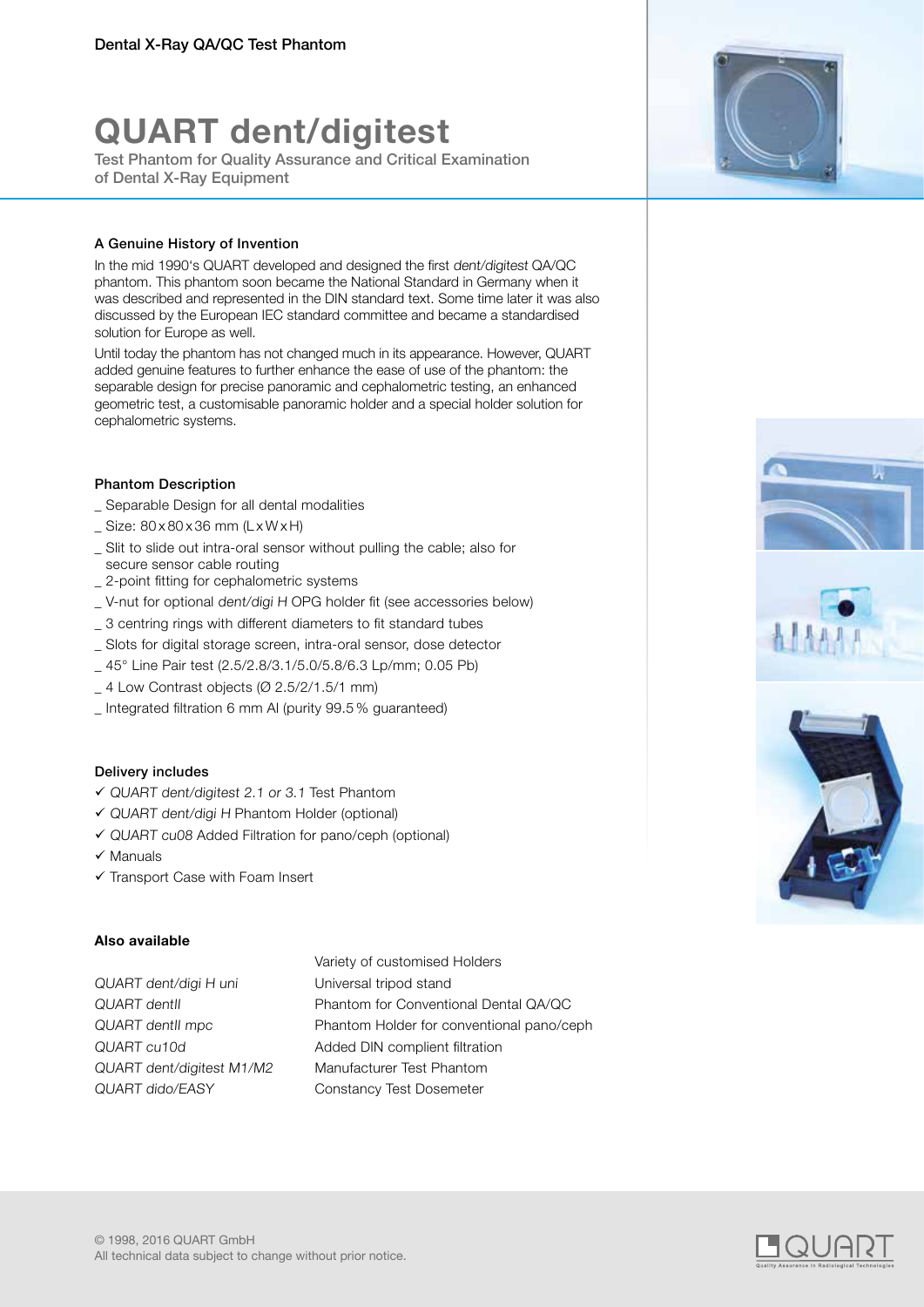# **QUART dent/digitest**

Test Phantom for Quality Assurance and Critical Examination of Dental X-Ray Equipment

### A Genuine History of Invention

In the mid 1990's QUART developed and designed the first dent/digitest QA/QC phantom. This phantom soon became the National Standard in Germany when it was described and represented in the DIN standard text. Some time later it was also discussed by the European IEC standard committee and became a standardised solution for Europe as well.

Until today the phantom has not changed much in its appearance. However, QUART added genuine features to further enhance the ease of use of the phantom: the separable design for precise panoramic and cephalometric testing, an enhanced geometric test, a customisable panoramic holder and a special holder solution for cephalometric systems.

### Phantom Description

- Separable Design for all dental modalities
- $\angle$  Size: 80 x 80 x 36 mm (L x W x H)
- \_ Slit to slide out intra-oral sensor without pulling the cable; also for secure sensor cable routing
- \_ 2-point fitting for cephalometric systems
- \_ V-nut for optional dent/digi H OPG holder fit (see accessories below)
- \_ 3 centring rings with different diameters to fit standard tubes
- \_ Slots for digital storage screen, intra-oral sensor, dose detector
- \_ 45° Line Pair test (2.5/2.8/3.1/5.0/5.8/6.3 Lp/mm; 0.05 Pb)
- $-4$  Low Contrast objects ( $\varnothing$  2.5/2/1.5/1 mm)
- \_ Integrated filtration 6 mm Al (purity 99.5 % guaranteed)

### Delivery includes

- QUART dent/digitest 2.1 or 3.1 Test Phantom
- QUART dent/digi H Phantom Holder (optional)
- QUART cu08 Added Filtration for pano/ceph (optional)
- $\checkmark$  Manuals
- $\checkmark$  Transport Case with Foam Insert

### **Also available**

QUART dent/digi H uni Universal tripod stand QUART dido/EASY Constancy Test Dosemeter

Variety of customised Holders QUART dentII Phantom for Conventional Dental QA/QC QUART dentII mpc Phantom Holder for conventional pano/ceph QUART cu10d Added DIN complient filtration QUART dent/digitest M1/M2 Manufacturer Test Phantom